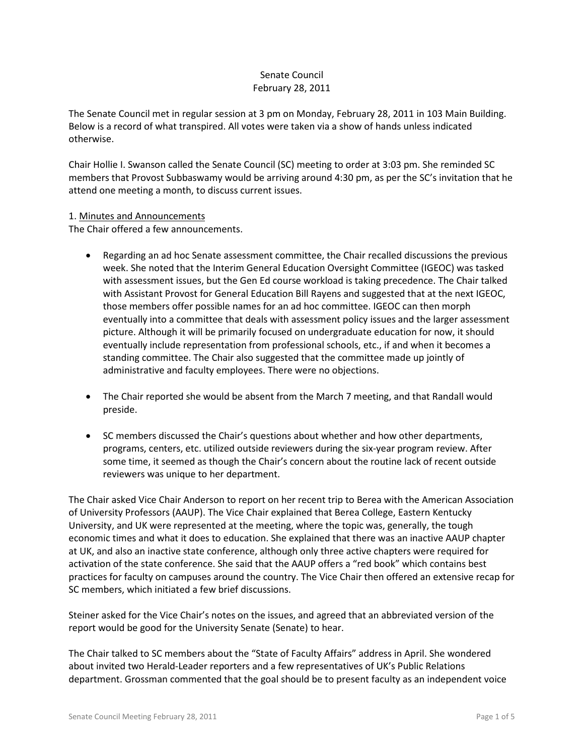# Senate Council February 28, 2011

The Senate Council met in regular session at 3 pm on Monday, February 28, 2011 in 103 Main Building. Below is a record of what transpired. All votes were taken via a show of hands unless indicated otherwise.

Chair Hollie I. Swanson called the Senate Council (SC) meeting to order at 3:03 pm. She reminded SC members that Provost Subbaswamy would be arriving around 4:30 pm, as per the SC's invitation that he attend one meeting a month, to discuss current issues.

### 1. Minutes and Announcements

The Chair offered a few announcements.

- Regarding an ad hoc Senate assessment committee, the Chair recalled discussions the previous week. She noted that the Interim General Education Oversight Committee (IGEOC) was tasked with assessment issues, but the Gen Ed course workload is taking precedence. The Chair talked with Assistant Provost for General Education Bill Rayens and suggested that at the next IGEOC, those members offer possible names for an ad hoc committee. IGEOC can then morph eventually into a committee that deals with assessment policy issues and the larger assessment picture. Although it will be primarily focused on undergraduate education for now, it should eventually include representation from professional schools, etc., if and when it becomes a standing committee. The Chair also suggested that the committee made up jointly of administrative and faculty employees. There were no objections.
- The Chair reported she would be absent from the March 7 meeting, and that Randall would preside.
- SC members discussed the Chair's questions about whether and how other departments, programs, centers, etc. utilized outside reviewers during the six-year program review. After some time, it seemed as though the Chair's concern about the routine lack of recent outside reviewers was unique to her department.

The Chair asked Vice Chair Anderson to report on her recent trip to Berea with the American Association of University Professors (AAUP). The Vice Chair explained that Berea College, Eastern Kentucky University, and UK were represented at the meeting, where the topic was, generally, the tough economic times and what it does to education. She explained that there was an inactive AAUP chapter at UK, and also an inactive state conference, although only three active chapters were required for activation of the state conference. She said that the AAUP offers a "red book" which contains best practices for faculty on campuses around the country. The Vice Chair then offered an extensive recap for SC members, which initiated a few brief discussions.

Steiner asked for the Vice Chair's notes on the issues, and agreed that an abbreviated version of the report would be good for the University Senate (Senate) to hear.

The Chair talked to SC members about the "State of Faculty Affairs" address in April. She wondered about invited two Herald-Leader reporters and a few representatives of UK's Public Relations department. Grossman commented that the goal should be to present faculty as an independent voice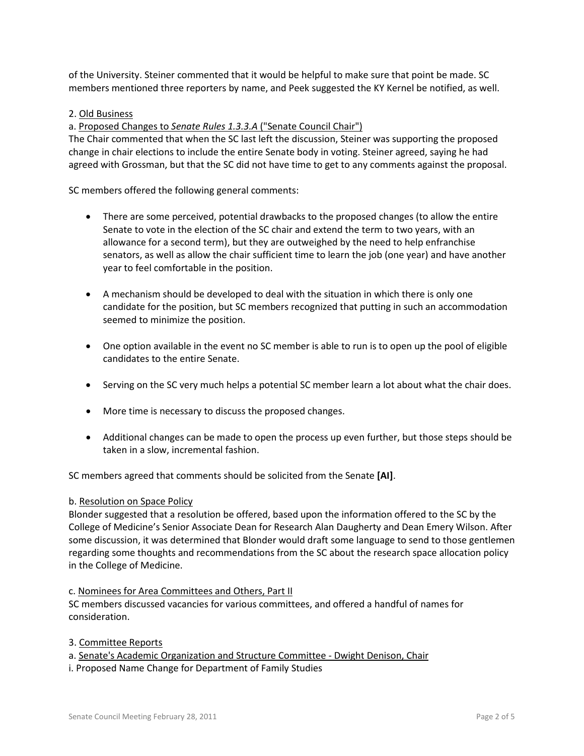of the University. Steiner commented that it would be helpful to make sure that point be made. SC members mentioned three reporters by name, and Peek suggested the KY Kernel be notified, as well.

## 2. Old Business

a. Proposed Changes to *Senate Rules 1.3.3.A* ("Senate Council Chair")

The Chair commented that when the SC last left the discussion, Steiner was supporting the proposed change in chair elections to include the entire Senate body in voting. Steiner agreed, saying he had agreed with Grossman, but that the SC did not have time to get to any comments against the proposal.

SC members offered the following general comments:

- There are some perceived, potential drawbacks to the proposed changes (to allow the entire Senate to vote in the election of the SC chair and extend the term to two years, with an allowance for a second term), but they are outweighed by the need to help enfranchise senators, as well as allow the chair sufficient time to learn the job (one year) and have another year to feel comfortable in the position.
- A mechanism should be developed to deal with the situation in which there is only one candidate for the position, but SC members recognized that putting in such an accommodation seemed to minimize the position.
- One option available in the event no SC member is able to run is to open up the pool of eligible candidates to the entire Senate.
- Serving on the SC very much helps a potential SC member learn a lot about what the chair does.
- More time is necessary to discuss the proposed changes.
- Additional changes can be made to open the process up even further, but those steps should be taken in a slow, incremental fashion.

SC members agreed that comments should be solicited from the Senate **[AI]**.

#### b. Resolution on Space Policy

Blonder suggested that a resolution be offered, based upon the information offered to the SC by the College of Medicine's Senior Associate Dean for Research Alan Daugherty and Dean Emery Wilson. After some discussion, it was determined that Blonder would draft some language to send to those gentlemen regarding some thoughts and recommendations from the SC about the research space allocation policy in the College of Medicine.

#### c. Nominees for Area Committees and Others, Part II

SC members discussed vacancies for various committees, and offered a handful of names for consideration.

- 3. Committee Reports
- a. Senate's Academic Organization and Structure Committee Dwight Denison, Chair
- i. Proposed Name Change for Department of Family Studies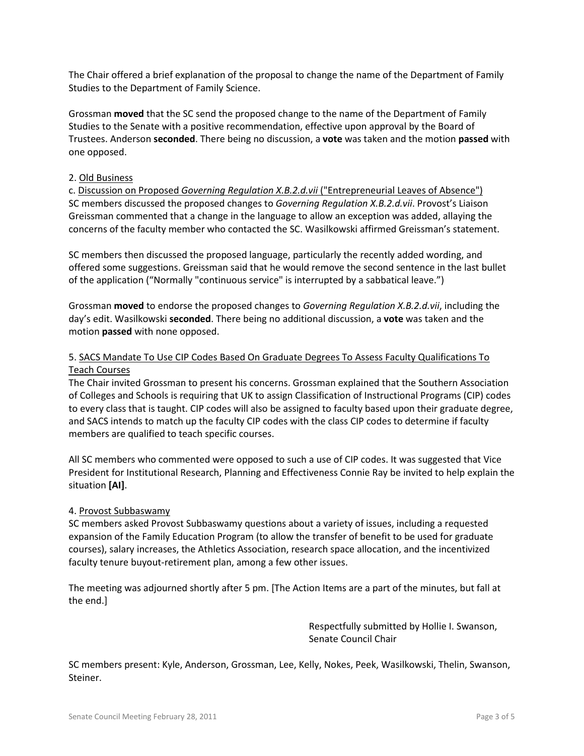The Chair offered a brief explanation of the proposal to change the name of the Department of Family Studies to the Department of Family Science.

Grossman **moved** that the SC send the proposed change to the name of the Department of Family Studies to the Senate with a positive recommendation, effective upon approval by the Board of Trustees. Anderson **seconded**. There being no discussion, a **vote** was taken and the motion **passed** with one opposed.

### 2. Old Business

c. Discussion on Proposed *Governing Regulation X.B.2.d.vii* ("Entrepreneurial Leaves of Absence") SC members discussed the proposed changes to *Governing Regulation X.B.2.d.vii*. Provost's Liaison Greissman commented that a change in the language to allow an exception was added, allaying the concerns of the faculty member who contacted the SC. Wasilkowski affirmed Greissman's statement.

SC members then discussed the proposed language, particularly the recently added wording, and offered some suggestions. Greissman said that he would remove the second sentence in the last bullet of the application ("Normally "continuous service" is interrupted by a sabbatical leave.")

Grossman **moved** to endorse the proposed changes to *Governing Regulation X.B.2.d.vii*, including the day's edit. Wasilkowski **seconded**. There being no additional discussion, a **vote** was taken and the motion **passed** with none opposed.

# 5. SACS Mandate To Use CIP Codes Based On Graduate Degrees To Assess Faculty Qualifications To Teach Courses

The Chair invited Grossman to present his concerns. Grossman explained that the Southern Association of Colleges and Schools is requiring that UK to assign Classification of Instructional Programs (CIP) codes to every class that is taught. CIP codes will also be assigned to faculty based upon their graduate degree, and SACS intends to match up the faculty CIP codes with the class CIP codes to determine if faculty members are qualified to teach specific courses.

All SC members who commented were opposed to such a use of CIP codes. It was suggested that Vice President for Institutional Research, Planning and Effectiveness Connie Ray be invited to help explain the situation **[AI]**.

## 4. Provost Subbaswamy

SC members asked Provost Subbaswamy questions about a variety of issues, including a requested expansion of the Family Education Program (to allow the transfer of benefit to be used for graduate courses), salary increases, the Athletics Association, research space allocation, and the incentivized faculty tenure buyout-retirement plan, among a few other issues.

The meeting was adjourned shortly after 5 pm. [The Action Items are a part of the minutes, but fall at the end.]

> Respectfully submitted by Hollie I. Swanson, Senate Council Chair

SC members present: Kyle, Anderson, Grossman, Lee, Kelly, Nokes, Peek, Wasilkowski, Thelin, Swanson, Steiner.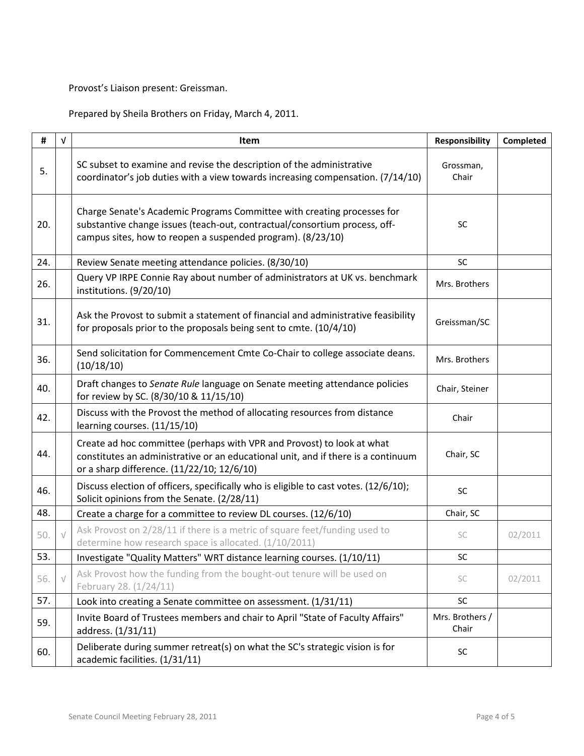Provost's Liaison present: Greissman.

Prepared by Sheila Brothers on Friday, March 4, 2011.

| #   | $\sqrt{ }$ | Item                                                                                                                                                                                                                 | <b>Responsibility</b>    | Completed |
|-----|------------|----------------------------------------------------------------------------------------------------------------------------------------------------------------------------------------------------------------------|--------------------------|-----------|
| 5.  |            | SC subset to examine and revise the description of the administrative<br>coordinator's job duties with a view towards increasing compensation. (7/14/10)                                                             | Grossman,<br>Chair       |           |
| 20. |            | Charge Senate's Academic Programs Committee with creating processes for<br>substantive change issues (teach-out, contractual/consortium process, off-<br>campus sites, how to reopen a suspended program). (8/23/10) | <b>SC</b>                |           |
| 24. |            | Review Senate meeting attendance policies. (8/30/10)                                                                                                                                                                 | SC                       |           |
| 26. |            | Query VP IRPE Connie Ray about number of administrators at UK vs. benchmark<br>institutions. (9/20/10)                                                                                                               | Mrs. Brothers            |           |
| 31. |            | Ask the Provost to submit a statement of financial and administrative feasibility<br>for proposals prior to the proposals being sent to cmte. (10/4/10)                                                              | Greissman/SC             |           |
| 36. |            | Send solicitation for Commencement Cmte Co-Chair to college associate deans.<br>(10/18/10)                                                                                                                           | Mrs. Brothers            |           |
| 40. |            | Draft changes to Senate Rule language on Senate meeting attendance policies<br>for review by SC. (8/30/10 & 11/15/10)                                                                                                | Chair, Steiner           |           |
| 42. |            | Discuss with the Provost the method of allocating resources from distance<br>learning courses. (11/15/10)                                                                                                            | Chair                    |           |
| 44. |            | Create ad hoc committee (perhaps with VPR and Provost) to look at what<br>constitutes an administrative or an educational unit, and if there is a continuum<br>or a sharp difference. (11/22/10; 12/6/10)            | Chair, SC                |           |
| 46. |            | Discuss election of officers, specifically who is eligible to cast votes. (12/6/10);<br>Solicit opinions from the Senate. (2/28/11)                                                                                  | SC                       |           |
| 48. |            | Create a charge for a committee to review DL courses. (12/6/10)                                                                                                                                                      | Chair, SC                |           |
| 50. | $\sqrt{}$  | Ask Provost on 2/28/11 if there is a metric of square feet/funding used to<br>determine how research space is allocated. (1/10/2011)                                                                                 | SC                       | 02/2011   |
| 53. |            | Investigate "Quality Matters" WRT distance learning courses. (1/10/11)                                                                                                                                               | SC.                      |           |
| 56. |            | Ask Provost how the funding from the bought-out tenure will be used on<br>February 28. (1/24/11)                                                                                                                     | SC                       | 02/2011   |
| 57. |            | Look into creating a Senate committee on assessment. (1/31/11)                                                                                                                                                       | SC                       |           |
| 59. |            | Invite Board of Trustees members and chair to April "State of Faculty Affairs"<br>address. (1/31/11)                                                                                                                 | Mrs. Brothers /<br>Chair |           |
| 60. |            | Deliberate during summer retreat(s) on what the SC's strategic vision is for<br>academic facilities. (1/31/11)                                                                                                       | SC                       |           |